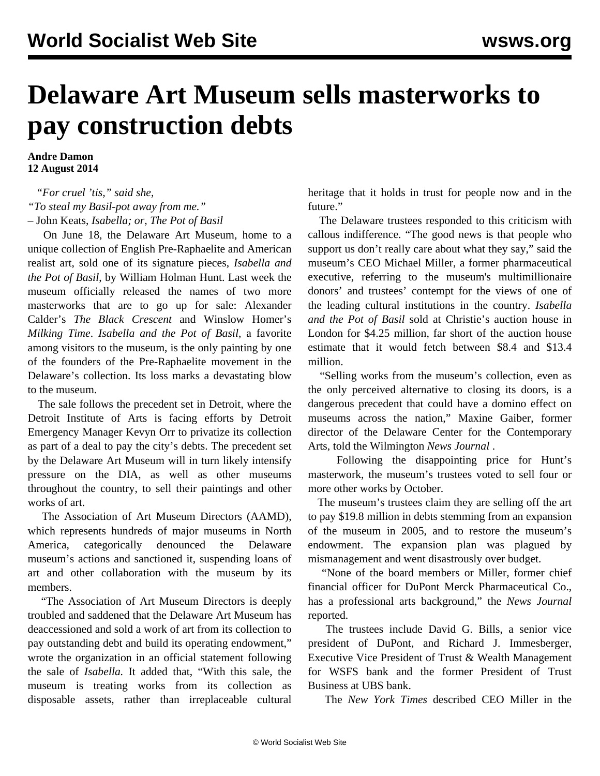## **Delaware Art Museum sells masterworks to pay construction debts**

**Andre Damon 12 August 2014**

 *"For cruel 'tis," said she, "To steal my Basil-pot away from me."* – John Keats, *Isabella; or, The Pot of Basil*

 On June 18, the Delaware Art Museum, home to a unique collection of English Pre-Raphaelite and American realist art, sold one of its signature pieces, *Isabella and the Pot of Basil*, by William Holman Hunt. Last week the museum officially released the names of two more masterworks that are to go up for sale: Alexander Calder's *The Black Crescent* and Winslow Homer's *Milking Time*. *Isabella and the Pot of Basil*, a favorite among visitors to the museum, is the only painting by one of the founders of the Pre-Raphaelite movement in the Delaware's collection. Its loss marks a devastating blow to the museum.

 The sale follows the precedent set in Detroit, where the Detroit Institute of Arts is facing efforts by Detroit Emergency Manager Kevyn Orr to privatize its collection as part of a deal to pay the city's debts. The precedent set by the Delaware Art Museum will in turn likely intensify pressure on the DIA, as well as other museums throughout the country, to sell their paintings and other works of art.

 The Association of Art Museum Directors (AAMD), which represents hundreds of major museums in North America, categorically denounced the Delaware museum's actions and sanctioned it, suspending loans of art and other collaboration with the museum by its members.

 "The Association of Art Museum Directors is deeply troubled and saddened that the Delaware Art Museum has deaccessioned and sold a work of art from its collection to pay outstanding debt and build its operating endowment," wrote the organization in an official statement following the sale of *Isabella.* It added that, "With this sale, the museum is treating works from its collection as disposable assets, rather than irreplaceable cultural

heritage that it holds in trust for people now and in the future."

 The Delaware trustees responded to this criticism with callous indifference. "The good news is that people who support us don't really care about what they say," said the museum's CEO Michael Miller, a former pharmaceutical executive, referring to the museum's multimillionaire donors' and trustees' contempt for the views of one of the leading cultural institutions in the country. *Isabella and the Pot of Basil* sold at Christie's auction house in London for \$4.25 million, far short of the auction house estimate that it would fetch between \$8.4 and \$13.4 million.

 "Selling works from the museum's collection, even as the only perceived alternative to closing its doors, is a dangerous precedent that could have a domino effect on museums across the nation," Maxine Gaiber, former director of the Delaware Center for the Contemporary Arts, told the Wilmington *News Journal* .

 Following the disappointing price for Hunt's masterwork, the museum's trustees voted to sell four or more other works by October.

 The museum's trustees claim they are selling off the art to pay \$19.8 million in debts stemming from an expansion of the museum in 2005, and to restore the museum's endowment. The expansion plan was plagued by mismanagement and went disastrously over budget.

 "None of the board members or Miller, former chief financial officer for DuPont Merck Pharmaceutical Co., has a professional arts background," the *News Journal* reported.

 The trustees include David G. Bills, a senior vice president of DuPont, and Richard J. Immesberger, Executive Vice President of Trust & Wealth Management for WSFS bank and the former President of Trust Business at UBS bank.

The *New York Times* described CEO Miller in the